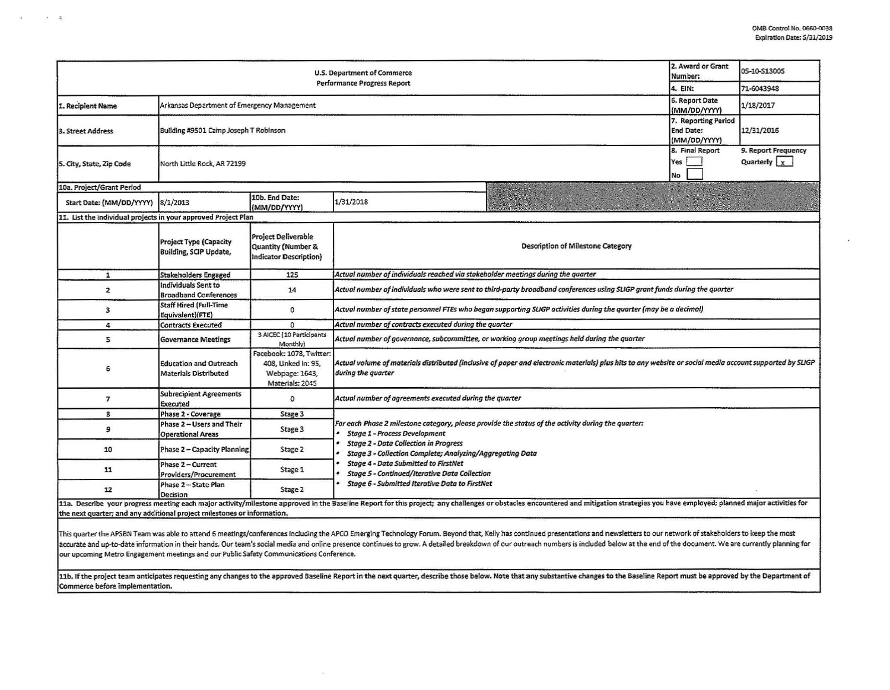| U.S. Department of Commerce<br><b>Performance Progress Report</b> |                                                                                                                                                                                                                                                                                                           |                                                                                      |                                                                                                                                                                                                                                                                                                                                                                |                                                                                                                   | 2. Award or Grant<br>Number:                            | 05-10-S13005 |  |  |
|-------------------------------------------------------------------|-----------------------------------------------------------------------------------------------------------------------------------------------------------------------------------------------------------------------------------------------------------------------------------------------------------|--------------------------------------------------------------------------------------|----------------------------------------------------------------------------------------------------------------------------------------------------------------------------------------------------------------------------------------------------------------------------------------------------------------------------------------------------------------|-------------------------------------------------------------------------------------------------------------------|---------------------------------------------------------|--------------|--|--|
|                                                                   |                                                                                                                                                                                                                                                                                                           |                                                                                      |                                                                                                                                                                                                                                                                                                                                                                |                                                                                                                   | 4. EIN:                                                 | 71-6043948   |  |  |
| 1. Recipient Name                                                 | Arkansas Department of Emergency Management                                                                                                                                                                                                                                                               |                                                                                      |                                                                                                                                                                                                                                                                                                                                                                |                                                                                                                   | 6. Report Date<br>(MM/DD/YYYY)                          | 1/18/2017    |  |  |
| 3. Street Address                                                 | Building #9501 Camp Joseph T Robinson                                                                                                                                                                                                                                                                     |                                                                                      |                                                                                                                                                                                                                                                                                                                                                                |                                                                                                                   | 7. Reporting Period<br><b>End Date:</b><br>(MM/DD/YYYY) | 12/31/2016   |  |  |
| 5. City, State, Zip Code                                          | North Little Rock, AR 72199                                                                                                                                                                                                                                                                               |                                                                                      |                                                                                                                                                                                                                                                                                                                                                                | 8. Final Report<br>Yes<br>No                                                                                      | 9. Report Frequency<br>Quarterly $x$                    |              |  |  |
| 10a. Project/Grant Period                                         |                                                                                                                                                                                                                                                                                                           |                                                                                      |                                                                                                                                                                                                                                                                                                                                                                |                                                                                                                   |                                                         |              |  |  |
| Start Date: (MM/DD/YYYY)                                          | 8/1/2013                                                                                                                                                                                                                                                                                                  | 10b. End Date:<br>(MM/DD/YYYY)                                                       | 1/31/2018                                                                                                                                                                                                                                                                                                                                                      |                                                                                                                   |                                                         |              |  |  |
| 11. List the individual projects in your approved Project Plan    |                                                                                                                                                                                                                                                                                                           |                                                                                      |                                                                                                                                                                                                                                                                                                                                                                |                                                                                                                   |                                                         |              |  |  |
|                                                                   | <b>Project Type (Capacity</b><br><b>Building, SCIP Update,</b>                                                                                                                                                                                                                                            | <b>Project Deliverable</b><br>Quantity (Number &<br>Indicator Description)           | <b>Description of Milestone Category</b>                                                                                                                                                                                                                                                                                                                       |                                                                                                                   |                                                         |              |  |  |
| $\mathbf{1}$                                                      | <b>Stakeholders Engaged</b>                                                                                                                                                                                                                                                                               | 125                                                                                  | Actual number of individuals reached via stakeholder meetings during the quarter                                                                                                                                                                                                                                                                               |                                                                                                                   |                                                         |              |  |  |
| $\overline{\mathbf{z}}$                                           | Individuals Sent to<br><b>Broadband Conferences</b>                                                                                                                                                                                                                                                       | 14                                                                                   | Actual number of individuals who were sent to third-party broadband conferences using SLIGP grant funds during the quarter                                                                                                                                                                                                                                     |                                                                                                                   |                                                         |              |  |  |
| 3                                                                 | <b>Staff Hired (Full-Time</b><br>Equivalent)(FTE)                                                                                                                                                                                                                                                         | 0                                                                                    |                                                                                                                                                                                                                                                                                                                                                                | Actual number of state personnel FTEs who began supporting SLIGP activities during the quarter (may be a decimal) |                                                         |              |  |  |
| 4                                                                 | <b>Contracts Executed</b>                                                                                                                                                                                                                                                                                 | 0                                                                                    | Actual number of contracts executed during the quarter                                                                                                                                                                                                                                                                                                         |                                                                                                                   |                                                         |              |  |  |
| 5                                                                 | <b>Governance Meetings</b>                                                                                                                                                                                                                                                                                | 3 AICEC (10 Participants<br>Monthly)                                                 | Actual number of governance, subcommittee, or working group meetings held during the quarter                                                                                                                                                                                                                                                                   |                                                                                                                   |                                                         |              |  |  |
| 6                                                                 | <b>Education and Outreach</b><br><b>Materials Distributed</b>                                                                                                                                                                                                                                             | Facebook: 1078, Twitter:<br>408, Linked In: 95,<br>Webpage: 1643,<br>Materials: 2045 | Actual volume of materials distributed (inclusive of paper and electronic materials) plus hits to any website or social media account supported by SLIGP<br>during the quarter                                                                                                                                                                                 |                                                                                                                   |                                                         |              |  |  |
| $\overline{ }$                                                    | <b>Subrecipient Agreements</b><br><b>Executed</b>                                                                                                                                                                                                                                                         | 0                                                                                    | Actual number of agreements executed during the quarter                                                                                                                                                                                                                                                                                                        |                                                                                                                   |                                                         |              |  |  |
| 8                                                                 | Phase 2 - Coverage                                                                                                                                                                                                                                                                                        | Stage 3                                                                              |                                                                                                                                                                                                                                                                                                                                                                |                                                                                                                   |                                                         |              |  |  |
| э                                                                 | Phase 2 - Users and Their<br><b>Operational Areas</b>                                                                                                                                                                                                                                                     | Stage 3                                                                              | For each Phase 2 milestone category, please provide the status of the activity during the quarter:<br><b>Stage 1 - Process Development</b><br><b>Stage 2 - Data Collection in Progress</b><br>Stage 3 - Collection Complete; Analyzing/Aggregating Data<br><b>Stage 4 - Data Submitted to FirstNet</b><br><b>Stage 5 - Continued/Iterative Data Collection</b> |                                                                                                                   |                                                         |              |  |  |
| 10                                                                | Phase 2 - Capacity Planning                                                                                                                                                                                                                                                                               | Stage 2                                                                              |                                                                                                                                                                                                                                                                                                                                                                |                                                                                                                   |                                                         |              |  |  |
| 11                                                                | Phase 2 - Current<br>Providers/Procurement                                                                                                                                                                                                                                                                | Stage 1                                                                              |                                                                                                                                                                                                                                                                                                                                                                |                                                                                                                   |                                                         |              |  |  |
| 12                                                                | Phase 2 - State Plan<br>Decision                                                                                                                                                                                                                                                                          | Stage 2                                                                              | Stage 6 - Submitted Iterative Data to FirstNet                                                                                                                                                                                                                                                                                                                 |                                                                                                                   |                                                         |              |  |  |
|                                                                   | 11a. Describe your progress meeting each major activity/milestone approved in the Baseline Report for this project; any challenges or obstacles encountered and mitigation strategies you have employed; planned major activit<br>the next quarter; and any additional project milestones or information. |                                                                                      |                                                                                                                                                                                                                                                                                                                                                                |                                                                                                                   |                                                         |              |  |  |

 $\sim$   $\approx$ 

 $\infty$ 

This quarter the APSBN Team was able to attend 6 meetings/conferences including the APCO Emerging Technology Forum. Beyond that, Kelly has continued presentations and newsletters to our network of stakeholders to keep the accurate and up-to-date information in their hands. Our team's social media and online presence continues to grow. A detailed breakdown of our outreach numbers is included below at the end of the document. We are currently our upcoming Metro Engagement meetings and our Pubfic Safety Communications Conference.

11b. If the project team anticipates requesting any changes to the approved Baseline Report in the next quarter, describe those below. Note that any substantive changes to the Baseline Report must be approved by the Depart Commerce before implementation.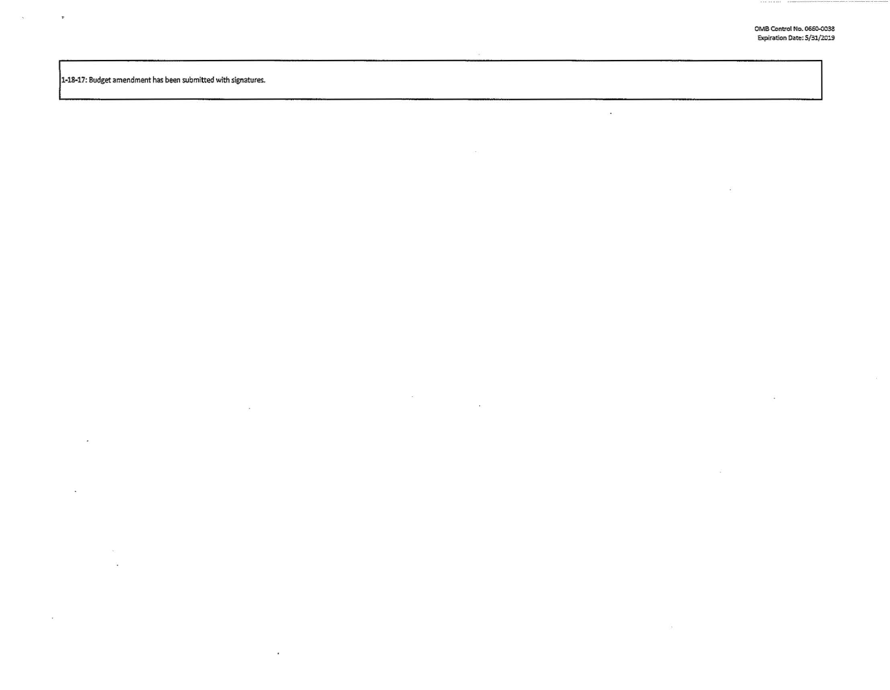$\alpha$ 

 $\ddot{\phantom{a}}$ 

 $\sim$ 

1-18-17: Budget amendment has been submitted with signatures.

- 2

 $\bullet$ 

 $\bar{\infty}$ 

 $\ddot{\phantom{a}}$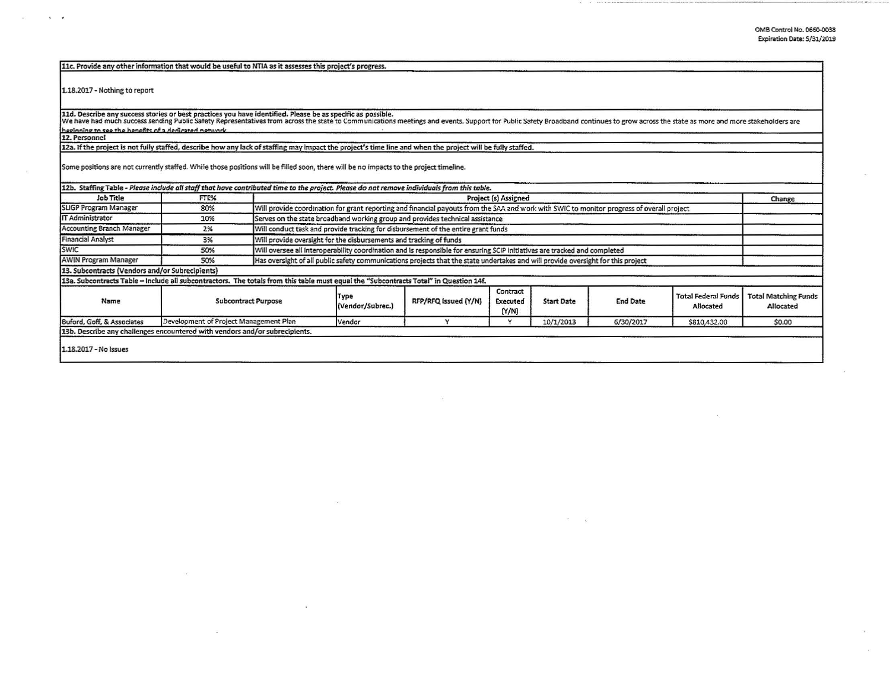$\overline{\mathcal{G}}$ 

| 11c. Provide any other information that would be useful to NTIA as it assesses this project's progress.                                                                                                                           |                                        |                            |                                                                                                                                                                              |                      |                               |                   |                 |                                         |                                          |
|-----------------------------------------------------------------------------------------------------------------------------------------------------------------------------------------------------------------------------------|----------------------------------------|----------------------------|------------------------------------------------------------------------------------------------------------------------------------------------------------------------------|----------------------|-------------------------------|-------------------|-----------------|-----------------------------------------|------------------------------------------|
| 1.18.2017 - Nothing to report                                                                                                                                                                                                     |                                        |                            |                                                                                                                                                                              |                      |                               |                   |                 |                                         |                                          |
| 11d. Describe any success stories or best practices you have identified. Please be as specific as possible.<br>We have had much success sending Public Safety Representatives from across the state to Communications meetings an |                                        |                            |                                                                                                                                                                              |                      |                               |                   |                 |                                         |                                          |
| heginning to see the henefits of a dedicated network                                                                                                                                                                              |                                        |                            |                                                                                                                                                                              |                      |                               |                   |                 |                                         |                                          |
| 12. Personnel                                                                                                                                                                                                                     |                                        |                            |                                                                                                                                                                              |                      |                               |                   |                 |                                         |                                          |
| 12a. If the project is not fully staffed, describe how any lack of staffing may impact the project's time line and when the project will be fully staffed.                                                                        |                                        |                            |                                                                                                                                                                              |                      |                               |                   |                 |                                         |                                          |
| Some positions are not currently staffed. While those positions will be filled soon, there will be no impacts to the project timeline.                                                                                            |                                        |                            |                                                                                                                                                                              |                      |                               |                   |                 |                                         |                                          |
| 12b. Staffing Table - Please include all staff that have contributed time to the project. Please do not remove individuals from this table.                                                                                       |                                        |                            |                                                                                                                                                                              |                      |                               |                   |                 |                                         |                                          |
| <b>Job Title</b>                                                                                                                                                                                                                  | FTE%                                   |                            | Project (s) Assigned<br>Change<br>Will provide coordination for grant reporting and financial payouts from the SAA and work with SWIC to monitor progress of overall project |                      |                               |                   |                 |                                         |                                          |
| SLIGP Program Manager                                                                                                                                                                                                             | 80%                                    |                            |                                                                                                                                                                              |                      |                               |                   |                 |                                         |                                          |
| IT Administrator                                                                                                                                                                                                                  | 10%                                    |                            | Serves on the state broadband working group and provides technical assistance                                                                                                |                      |                               |                   |                 |                                         |                                          |
| <b>Accounting Branch Manager</b>                                                                                                                                                                                                  | 2%                                     |                            | Will conduct task and provide tracking for disbursement of the entire grant funds                                                                                            |                      |                               |                   |                 |                                         |                                          |
| <b>Financial Analyst</b>                                                                                                                                                                                                          | 3%                                     |                            | Will provide oversight for the disbursements and tracking of funds                                                                                                           |                      |                               |                   |                 |                                         |                                          |
| <b>SWIC</b>                                                                                                                                                                                                                       | 50%                                    |                            | Will oversee all interoperability coordination and is responsible for ensuring SCIP initiatives are tracked and completed                                                    |                      |                               |                   |                 |                                         |                                          |
| <b>AWIN Program Manager</b>                                                                                                                                                                                                       | 50%                                    |                            | Has oversight of all public safety communications projects that the state undertakes and will provide oversight for this project                                             |                      |                               |                   |                 |                                         |                                          |
| 13. Subcontracts (Vendors and/or Subrecipients)                                                                                                                                                                                   |                                        |                            |                                                                                                                                                                              |                      |                               |                   |                 |                                         |                                          |
| 13a. Subcontracts Table - Include all subcontractors. The totals from this table must equal the "Subcontracts Total" in Question 14f.                                                                                             |                                        |                            |                                                                                                                                                                              |                      |                               |                   |                 |                                         |                                          |
| Name                                                                                                                                                                                                                              |                                        | <b>Subcontract Purpose</b> | Type<br>(Vendor/Subrec.)                                                                                                                                                     | RFP/RFQ issued (Y/N) | Contract<br>Executed<br>(Y/N) | <b>Start Date</b> | <b>End Date</b> | <b>Total Federal Funds</b><br>Allocated | <b>Total Matching Funds</b><br>Allocated |
| Buford, Goff, & Associates                                                                                                                                                                                                        | Development of Project Management Plan |                            | Vendor                                                                                                                                                                       | Y                    | Y                             | 10/1/2013         | 6/30/2017       | \$810,432.00                            | \$0.00                                   |
| 13b. Describe any challenges encountered with vendors and/or subrecipients.                                                                                                                                                       |                                        |                            |                                                                                                                                                                              |                      |                               |                   |                 |                                         |                                          |
| 1.18.2017 - No Issues                                                                                                                                                                                                             |                                        |                            |                                                                                                                                                                              |                      |                               |                   |                 |                                         |                                          |

 $\sim$ 

- 21

 $\sim$ 

 $\kappa = \kappa$ 

 $\sim$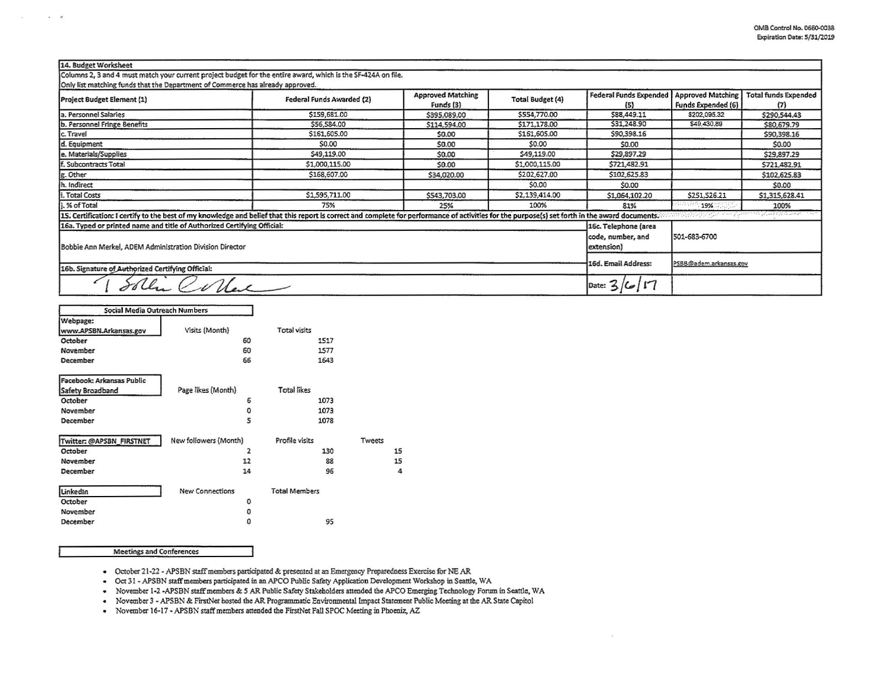| 14. Budget Worksheet                                                                                                                                                                            |                           |                                       |                         |                                                         |                                         |                                          |
|-------------------------------------------------------------------------------------------------------------------------------------------------------------------------------------------------|---------------------------|---------------------------------------|-------------------------|---------------------------------------------------------|-----------------------------------------|------------------------------------------|
| Columns 2, 3 and 4 must match your current project budget for the entire award, which is the SF-424A on file.                                                                                   |                           |                                       |                         |                                                         |                                         |                                          |
| Only list matching funds that the Department of Commerce has already approved.<br>Project Budget Element (1)                                                                                    | Federal Funds Awarded (2) | <b>Approved Matching</b><br>Funds (3) | <b>Total Budget (4)</b> | <b>Federal Funds Expended</b><br>(5)                    | Approved Matching<br>Funds Expended (6) | <b>Total funds Expended</b><br>(7)       |
| a. Personnel Salaries                                                                                                                                                                           | \$159,681.00              | \$395,089.00                          | \$554,770.00            | \$88,449.11                                             | \$202,095.32                            | \$290,544.43                             |
| b. Personnel Fringe Benefits                                                                                                                                                                    | \$56,584.00               | \$114,594.00                          | \$171,178.00            | \$31,248.90                                             | \$49,430,89                             | \$80,679.79                              |
| c. Travel                                                                                                                                                                                       | \$161,605.00              | \$0.00                                | \$161,605.00            | \$90,398.16                                             |                                         | \$90,398.16                              |
| d. Equipment                                                                                                                                                                                    | \$0.00                    | \$0.00                                | \$0.00                  | \$0.00                                                  |                                         | \$0.00                                   |
| e. Materials/Supplies                                                                                                                                                                           | \$49,119.00               | \$0.00                                | \$49,119.00             | \$29,897.29                                             |                                         | \$29,897.29                              |
| f. Subcontracts Total                                                                                                                                                                           | \$1,000,115.00            | \$0.00                                | \$1,000,115.00          | \$721,482.91                                            |                                         | \$721,482.91                             |
| g. Other                                                                                                                                                                                        | \$168,607.00              | \$34,020.00                           | \$202,627.00            | \$102,625.83                                            |                                         | \$102,625.83                             |
| . Indirect                                                                                                                                                                                      |                           |                                       | \$0.00                  | \$0.00                                                  |                                         | \$0.00                                   |
| . Total Costs                                                                                                                                                                                   | \$1,595,711.00            | \$543,703.00                          | \$2,139,414.00          | \$1,064,102.20                                          | \$251,526.21                            | \$1,315,628.41                           |
| .% of Total                                                                                                                                                                                     | 75%                       | 25%                                   | 100%                    | 81%                                                     | 19%                                     | 100%                                     |
| 15. Certification: I certify to the best of my knowledge and belief that this report is correct and complete for performance of activities for the purpose(s) set forth in the award documents. |                           |                                       |                         |                                                         | matayaya (1969) guniyar                 | at permanente y pyrenne de la permanente |
| 16a. Typed or printed name and title of Authorized Certifying Official:<br>Bobbie Ann Merkel, ADEM Administration Division Director                                                             |                           |                                       |                         | 16c. Telephone (area<br>code, number, and<br>extension) | 501-683-6700                            |                                          |
| 16b. Signature of Authorized Certifying Official:                                                                                                                                               |                           |                                       |                         | 16d. Email Address:                                     | PSBB@adem.arkansas.gov                  |                                          |
| "Clas                                                                                                                                                                                           |                           |                                       |                         | Date: 5                                                 |                                         |                                          |

15 15  $\sqrt{4}$ 

| <b>Social Media Outreach Numbers</b> |                       |                      |        |
|--------------------------------------|-----------------------|----------------------|--------|
| Webpage:<br>www.APSBN.Arkansas.gov   | Visits (Month)        | <b>Total visits</b>  |        |
| October                              | 60                    | 1517                 |        |
| November                             | 60                    | 1577                 |        |
| December                             | 66                    | 1643                 |        |
| Facebook: Arkansas Public            |                       |                      |        |
| Safety Broadband                     | Page likes (Month)    | <b>Total likes</b>   |        |
| October                              | 6                     | 1073                 |        |
| November                             | 0                     | 1073                 |        |
| December                             | 5                     | 1078                 |        |
| Twitter: @APSBN_FIRSTNET             | New followers (Month) | Profile visits       | Tweets |
| October                              | $\overline{2}$        | 130                  |        |
| November                             | 12                    | 88                   |        |
| December                             | 14                    | 96                   |        |
| LinkedIn                             | New Connections       | <b>Total Members</b> |        |
| October                              | $\Omega$              |                      |        |
| November                             | o                     |                      |        |
| December                             | 0                     | 95                   |        |

**Meetings and Conferences** 

- -

· October 21-22 - APSBN staff members participated & presented at an Emergency Preparedness Exercise for NE AR

- Oct 31 - APSBN staff members participated in an APCO Public Safety Application Development Workshop in Seattle, WA

· November 1-2 -APSBN staff members & 5 AR Public Safety Stakeholders attended the APCO Emerging Technology Forum in Seattle, WA

• November 3 - APSBN & FirstNet hosted the AR Programmatic Environmental Impact Statement Public Meeting at the AR State Capitol

• November 16-17 - APSBN staff members attended the FirstNet Fall SPOC Meeting in Phoeniz, AZ